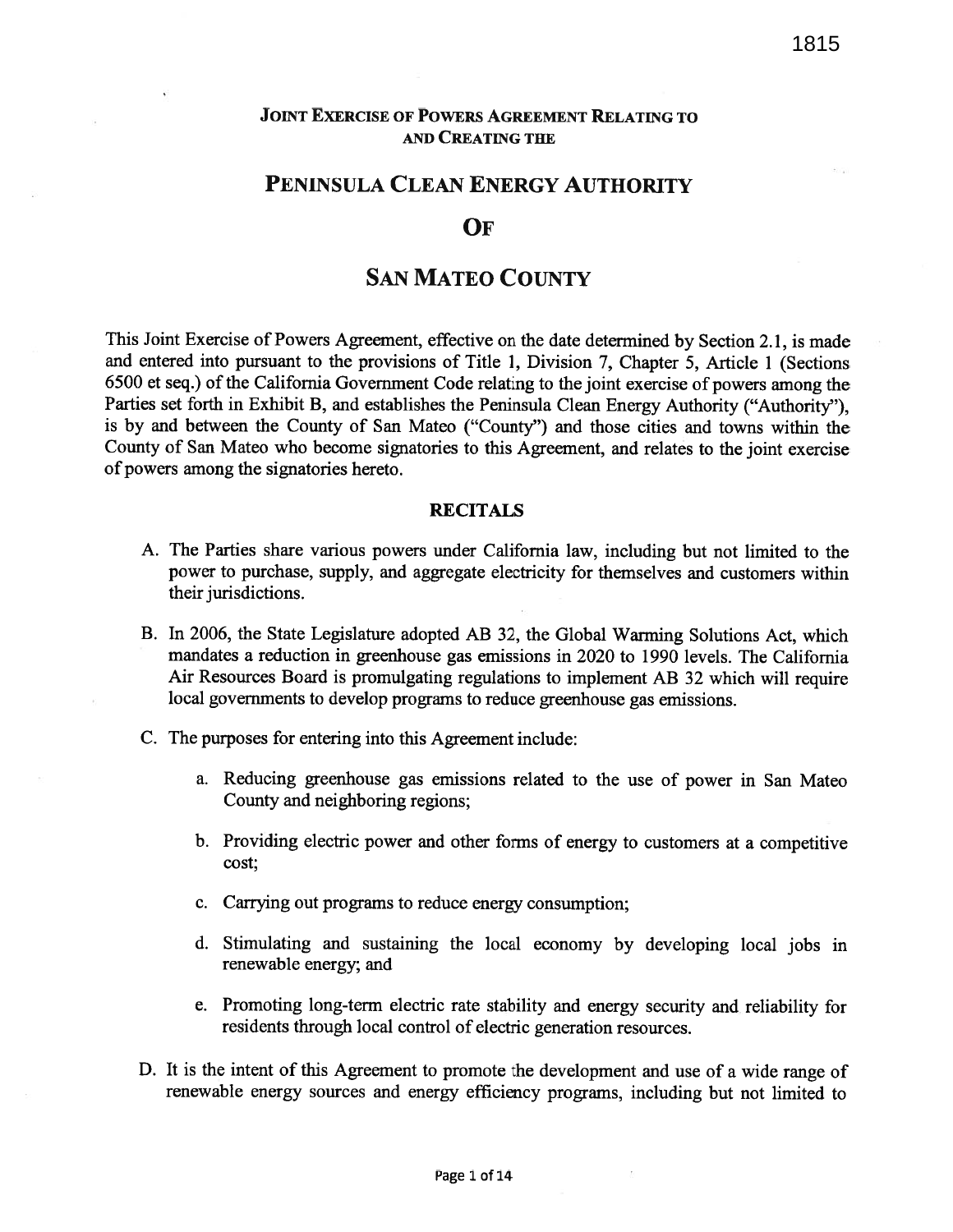### JOINT EXERCISE OF POWERS AGREEMENT RELATING TO AND CREATING THE

## PENINSULA CLEAN ENERGY AUTHORITY

#### OF

# SAN MATEO COUNTY

This Joint Exercise of Powers Agreement, effective on the date determined by Section 2.1, is made and entered into pursuan<sup>t</sup> to the provisions of Title 1, Division 7, Chapter 5, Article <sup>1</sup> (Sections <sup>6500</sup> et seq.) of the California Government Code relating to the joint exercise of powers among the Parties set forth in Exhibit B, and establishes the Peninsula Clean Energy Authority ("Authority"), is by and between the County of San Mateo ("County") and those cities and towns within the County of San Mateo who become signatories to this Agreement, and relates to the joint exercise of powers among the signatories hereto.

#### RECITALS

- A. The Parties share various powers under California law, including but not limited to the power to purchase, supply, and aggregate electricity for themselves and customers within their jurisdictions.
- B. In 2006, the State Legislature adopted AB 32, the Global Warming Solutions Act, which mandates <sup>a</sup> reduction in greenhouse gas emissions in 2020 to 1990 levels. The California Air Resources Board is promulgating regulations to implement AB <sup>32</sup> which will require local governments to develop programs to reduce greenhouse gas emissions.
- C. The purposes for entering into this Agreement include:
	- a. Reducing greenhouse gas emissions related to the use of power in San Mateo County and neighboring regions;
	- b. Providing electric power and other forms of energy to customers at <sup>a</sup> competitive cost;
	- c. Carrying out programs to reduce energy consumption;
	- d. Stimulating and sustaining the local economy by developing local jobs in renewable energy; and
	- e. Promoting long-term electric rate stability and energy security and reliability for residents through local control of electric generation resources.
- D. It is the intent of this Agreement to promote the development and use of <sup>a</sup> wide range of renewable energy sources and energy efficiency programs, including but not limited to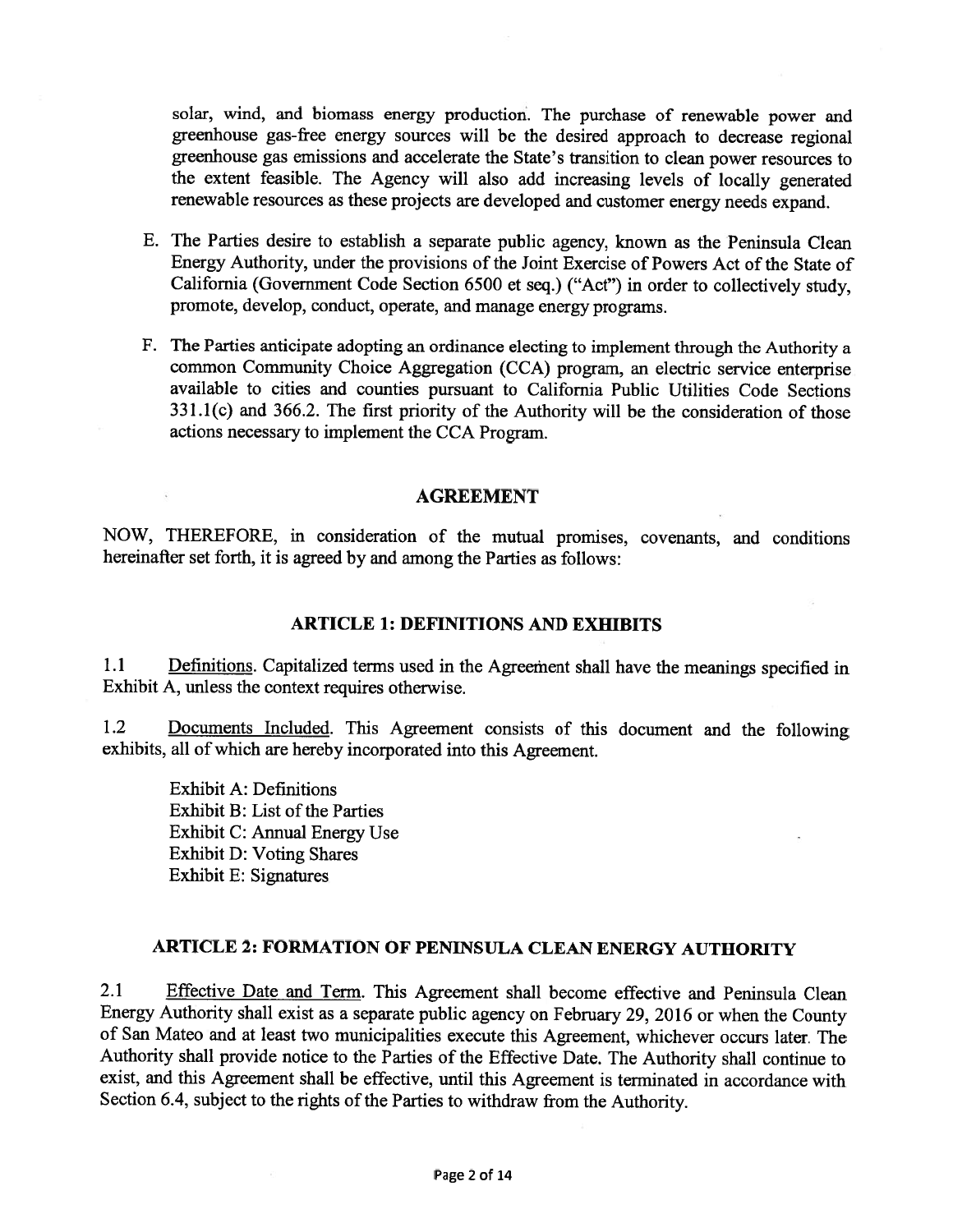solar, wind, and biomass energy production. The purchase of renewable power and greenhouse gas-free energy sources will be the desired approac<sup>h</sup> to decrease regional greenhouse gas emissions and accelerate the State's transition to clean power resources to the extent feasible. The Agency will also add increasing levels of locally generated renewable resources as these projects are developed and customer energy needs expand.

- E. The Parties desire to establish <sup>a</sup> separate public agency, known as the Peninsula Clean Energy Authority, under the provisions of the Joint Exercise of Powers Act of the State of California (Government Code Section <sup>6500</sup> et seq.) ("Act") in order to collectively study, promote, develop, conduct, operate, and manage energy programs.
- F. The Parties anticipate adopting an ordinance electing to implement through the Authority <sup>a</sup> common Community Choice Aggregation (CCA) program, an electric service enterprise available to cities and counties pursuan<sup>t</sup> to California Public Utilities Code Sections 331.1(c) and 366.2. The first priority of the Authority will be the consideration of those actions necessary to implement the CCA Program.

#### AGREEMENT

NOW, THEREFORE, in consideration of the mutual promises, covenants, and conditions hereinafter set forth, it is agreed by and among the Parties as follows:

### ARTICLE 1: DEFINITIONS AND EXHIBITS

1.1 Definitions. Capitalized terms used in the Agreement shall have the meanings specified in Exhibit A, unless the context requires otherwise.

1.2 Documents Included. This Agreement consists of this document and the following exhibits, all of which are hereby incorporated into this Agreement.

Exhibit A: Definitions Exhibit B: List of the Parties Exhibit C: Annual Energy Use Exhibit D: Voting Shares Exhibit E: Signatures

### ARTICLE 2: FORMATION OF PENINSULA CLEAN ENERGY AUTHORITY

2.1 Effective Date and Term. This Agreement shall become effective and Peninsula Clean Energy Authority shall exist as <sup>a</sup> separate public agency on February 29, <sup>2016</sup> or when the County of San Mateo and at least two municipalities execute this Agreement, whichever occurs later. The Authority shall provide notice to the Parties of the Effective Date. The Authority shall continue to exist, and this Agreement shall be effective, until this Agreement is terminated in accordance with Section 6.4, subject to the rights of the Parties to withdraw from the Authority.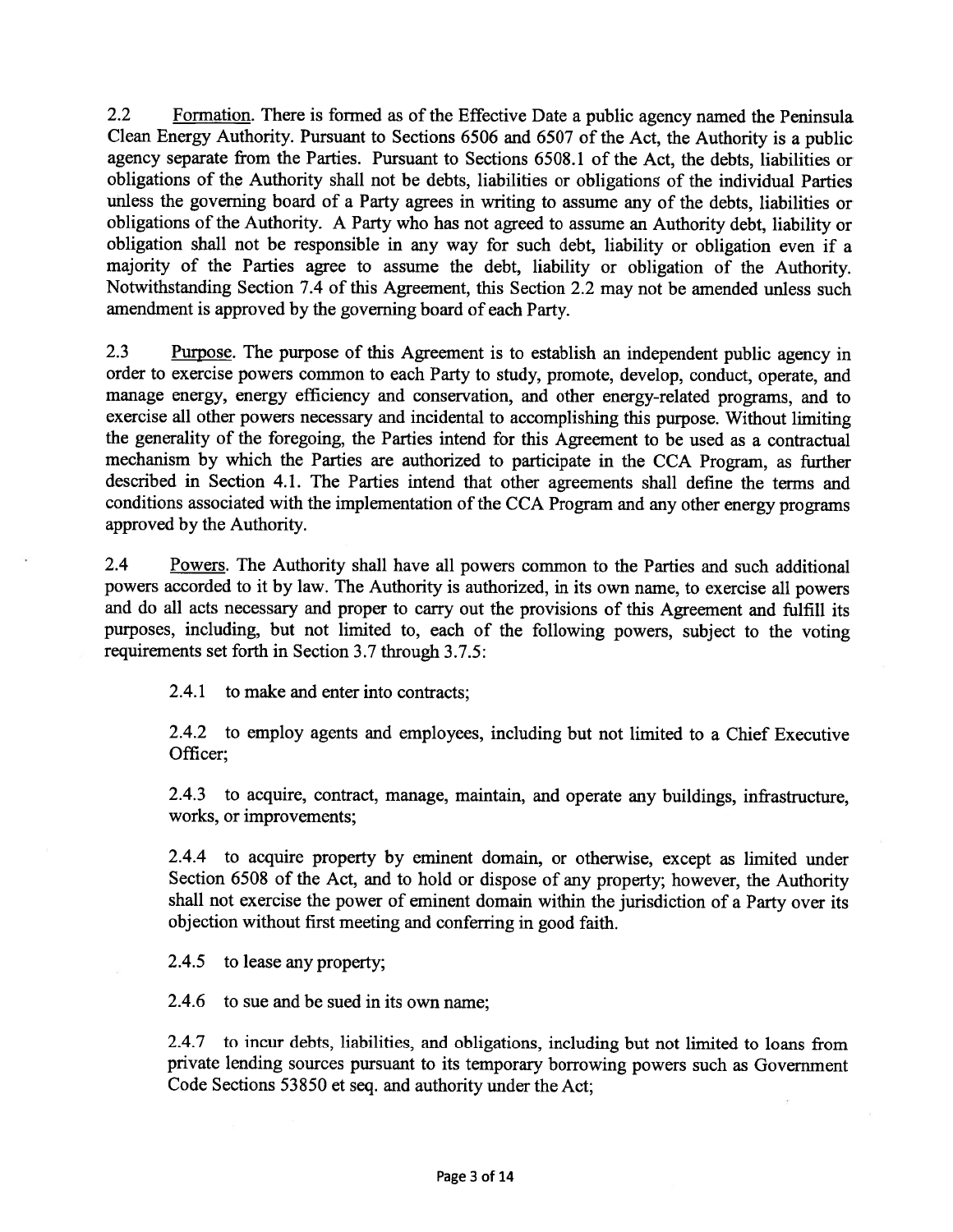2.2 Formation. There is formed as of the Effective Date a public agency named the Peninsula Clean Energy Authority. Pursuant to Sections <sup>6506</sup> and <sup>6507</sup> of the Act, the Authority is <sup>a</sup> public agency separate from the Parties. Pursuant to Sections 6508.1 of the Act, the debts, liabilities or obligations of the Authority shall not be debts, liabilities or obligations of the individual Parties unless the governing board of <sup>a</sup> Party agrees in writing to assume any of the debts, liabilities or obligations of the Authority. <sup>A</sup> Party who has not agree<sup>d</sup> to assume an Authority debt, liability or obligation shall not be responsible in any way for such debt, liability or obligation even if <sup>a</sup> majority of the Parties agree to assume the debt, liability or obligation of the Authority. Notwithstanding Section 7.4 of this Agreement, this Section 2.2 may not be amended unless such amendment is approved by the governing board of each Party.

2.3 Purpose. The purpose of this Agreement is to establish an independent public agency in order to exercise powers common to each Party to study, promote, develop, conduct, operate, and manage energy, energy efficiency and conservation, and other energy-related programs, and to exercise all other powers necessary and incidental to accomplishing this purpose. Without limiting the generality of the foregoing, the Parties intend for this Agreement to be used as <sup>a</sup> contractual mechanism by which the Parties are authorized to participate in the CCA Program, as further described in Section 4.1. The Parties intend that other agreements shall define the terms and conditions associated with the implementation of the CCA Program and any other energy programs approved by the Authority.

2.4 Powers. The Authority shall have all powers common to the Parties and such additional powers accorded to it by law. The Authority is authorized, in its own name, to exercise all powers and do all acts necessary and proper to carry out the provisions of this Agreement and fulfill its purposes, including, but not limited to, each of the following powers, subject to the voting requirements set forth in Section 3.7 through 3.7.5:

2.4.1 to make and enter into contracts;

2.4.2 to employ agents and employees, including but not limited to <sup>a</sup> Chief Executive Officer;

2.4.3 to acquire, contract, manage, maintain, and operate any buildings, infrastructure, works, or improvements;

2.4.4 to acquire property by eminent domain, or otherwise, excep<sup>t</sup> as limited under Section <sup>6508</sup> of the Act, and to hold or dispose of any property; however, the Authority shall not exercise the power of eminent domain within the jurisdiction of <sup>a</sup> Party over its objection without first meeting and conferring in goo<sup>d</sup> faith.

2.4.5 to lease any property;

2.4.6 to sue and be sued in its own name;

2.4.7 to incur debts, liabilities, and obligations, including but not limited to loans from private lending sources pursuan<sup>t</sup> to its temporary borrowing powers such as Government Code Sections 53850 et seq. and authority under the Act;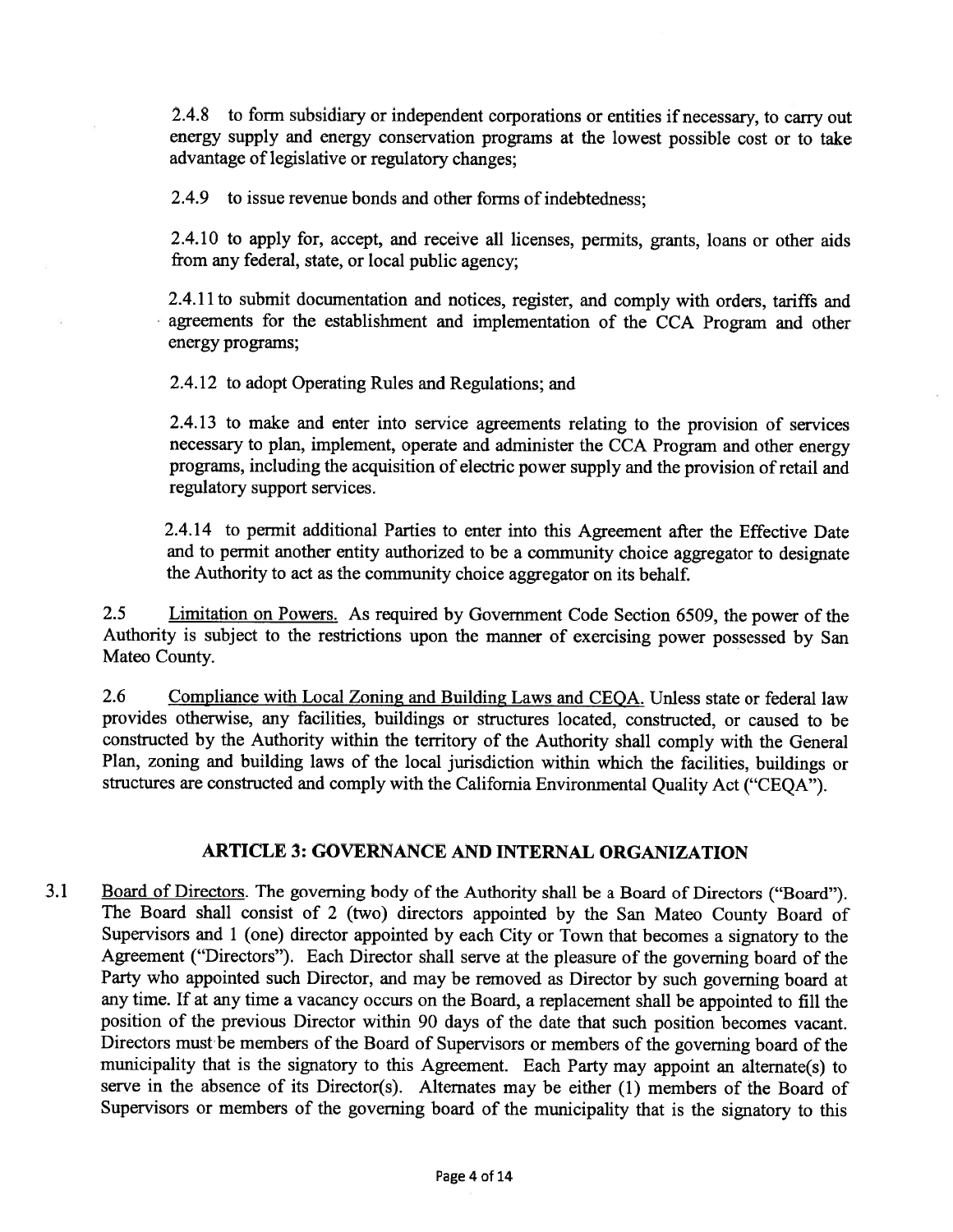2.4.8 to form subsidiary or independent corporations or entities if necessary, to carry out energy supply and energy conservation programs at the lowest possible cost or to take advantage of legislative or regulatory changes;

2.4.9 to issue revenue bonds and other forms of indebtedness;

2.4.10 to apply for, accept, and receive all licenses, permits, grants, loans or other aids from any federal, state, or local public agency;

2.4.11 to submit documentation and notices, register, and comply with orders, tariffs and agreements for the establishment and implementation of the CCA Program and other energy programs;

2.4.12 to adopt Operating Rules and Regulations; and

2.4.13 to make and enter into service agreements relating to the provision of services necessary to <sup>p</sup>lan, implement, operate and administer the CCA Program and other energy programs, including the acquisition of electric power supply and the provision ofretail and regulatory suppor<sup>t</sup> services.

2.4.14 to permit additional Parties to enter into this Agreement after the Effective Date and to permit another entity authorized to be <sup>a</sup> community choice aggregator to designate the Authority to act as the community choice aggregator on its behalf.

2.5 Limitation on Powers. As required by Government Code Section 6509, the power of the Authority is subject to the restrictions upon the manner of exercising power possesse<sup>d</sup> by San Mateo County.

2.6 Compliance with Local Zoning and Building Laws and CEQA. Unless state or federal law provides otherwise, any facilities, buildings or structures located, constructed, or caused to be constructed by the Authority within the territory of the Authority shall comply with the General Plan, zoning and building laws of the local jurisdiction within which the facilities, buildings or structures are constructed and comply with the California Environmental Quality Act ("CEQA").

### ARTICLE 3: GOVERNANCE AND INTERNAL ORGANIZATION

3.1 Board of Directors. The governing body of the Authority shall be <sup>a</sup> Board of Directors ("Board"). The Board shall consist of <sup>2</sup> (two) directors appointed by the San Mateo County Board of Supervisors and <sup>1</sup> (one) director appointed by each City or Town that becomes <sup>a</sup> signatory to the Agreement ("Directors"). Each Director shall serve at the <sup>p</sup>leasure of the governing board of the Party who appointed such Director, and may be removed as Director by such governing board at any time. If at any time <sup>a</sup> vacancy occurs on the Board, <sup>a</sup> replacement shall be appointed to fill the position of the previous Director within <sup>90</sup> days of the date that such position becomes vacant. Directors must be members of the Board of Supervisors or members of the governing board of the municipality that is the signatory to this Agreement. Each Party may appoint an alternate(s) to serve in the absence of its Director(s). Alternates may be either (1) members of the Board of Supervisors or members of the governing board of the municipality that is the signatory to this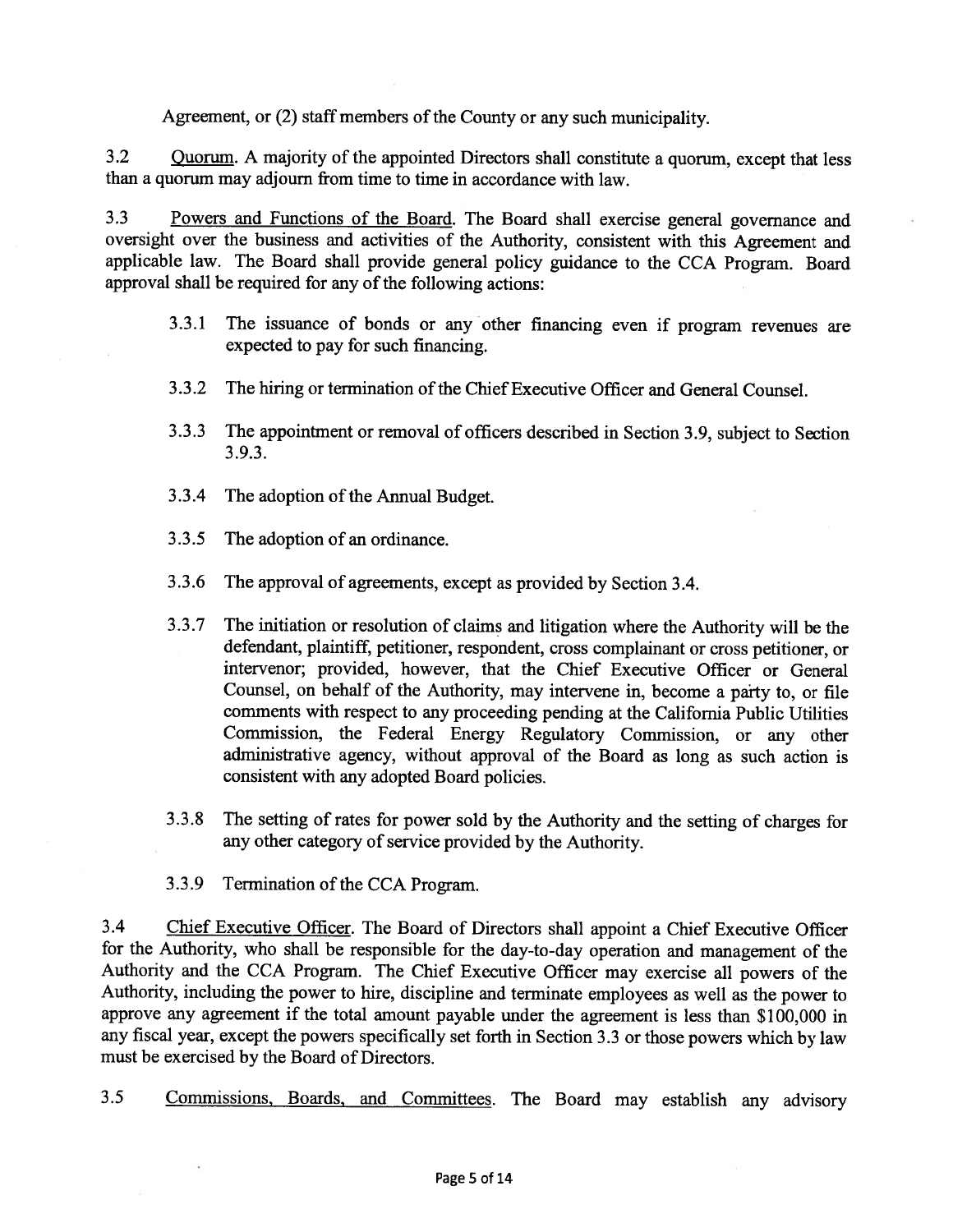Agreement, or (2) staff members of the County or any such municipality.

3.2 Quorum. A majority of the appointed Directors shall constitute a quorum, except that less than <sup>a</sup> quorum may adjourn from time to time in accordance with law.

3.3 Powers and Functions of the Board. The Board shall exercise genera<sup>l</sup> governance and oversight over the business and activities of the Authority, consistent with this Agreement and applicable law. The Board shall provide genera<sup>l</sup> policy guidance to the CCA Program. Board approval shall be required for any of the following actions:

- 3.3.1 The issuance of bonds or any other financing even if program revenues are expected to pay for such financing.
- 3.3.2 The hiring or termination of the Chief Executive Officer and General Counsel.
- 3.3.3 The appointment or removal of officers described in Section 3.9, subject to Section 3.9.3.
- 3.3.4 The adoption of the Annual Budget.
- 3.3.5 The adoption of an ordinance.
- 3.3.6 The approva<sup>l</sup> of agreements, excep<sup>t</sup> as provided by Section 3.4.
- 3.3.7 The initiation or resolution of claims and litigation where the Authority will be the defendant, <sup>p</sup>laintiff, petitioner, respondent, cross complainant or cross petitioner, or intervenor; provided, however, that the Chief Executive Officer or General Counsel, on behalf of the Authority, may intervene in, become <sup>a</sup> party to, or file comments with respec<sup>t</sup> to any proceeding pending at the California Public Utilities Commission, the Federal Energy Regulatory Commission, or any other administrative agency, without approva<sup>l</sup> of the Board as long as such action is consistent with any adopted Board policies.
- 3.3.8 The setting of rates for power sold by the Authority and the setting of charges for any other category of service provided by the Authority.
- 3.3.9 Termination of the CCA Program.

3.4 Chief Executive Officer. The Board of Directors shall appoint a Chief Executive Officer for the Authority, who shall be responsible for the day-to-day operation and managemen<sup>t</sup> of the Authority and the CCA Program. The Chief Executive Officer may exercise all powers of the Authority, including the power to hire, discipline and terminate employees as well as the power to approve any agreemen<sup>t</sup> if the total amount payable under the agreemen<sup>t</sup> is less than \$100,000 in any fiscal year, excep<sup>t</sup> the powers specifically set forth in Section 3.3 or those powers which by law must be exercised by the Board of Directors.

3.5 Commissions, Boards, and Committees. The Board may establish any advisory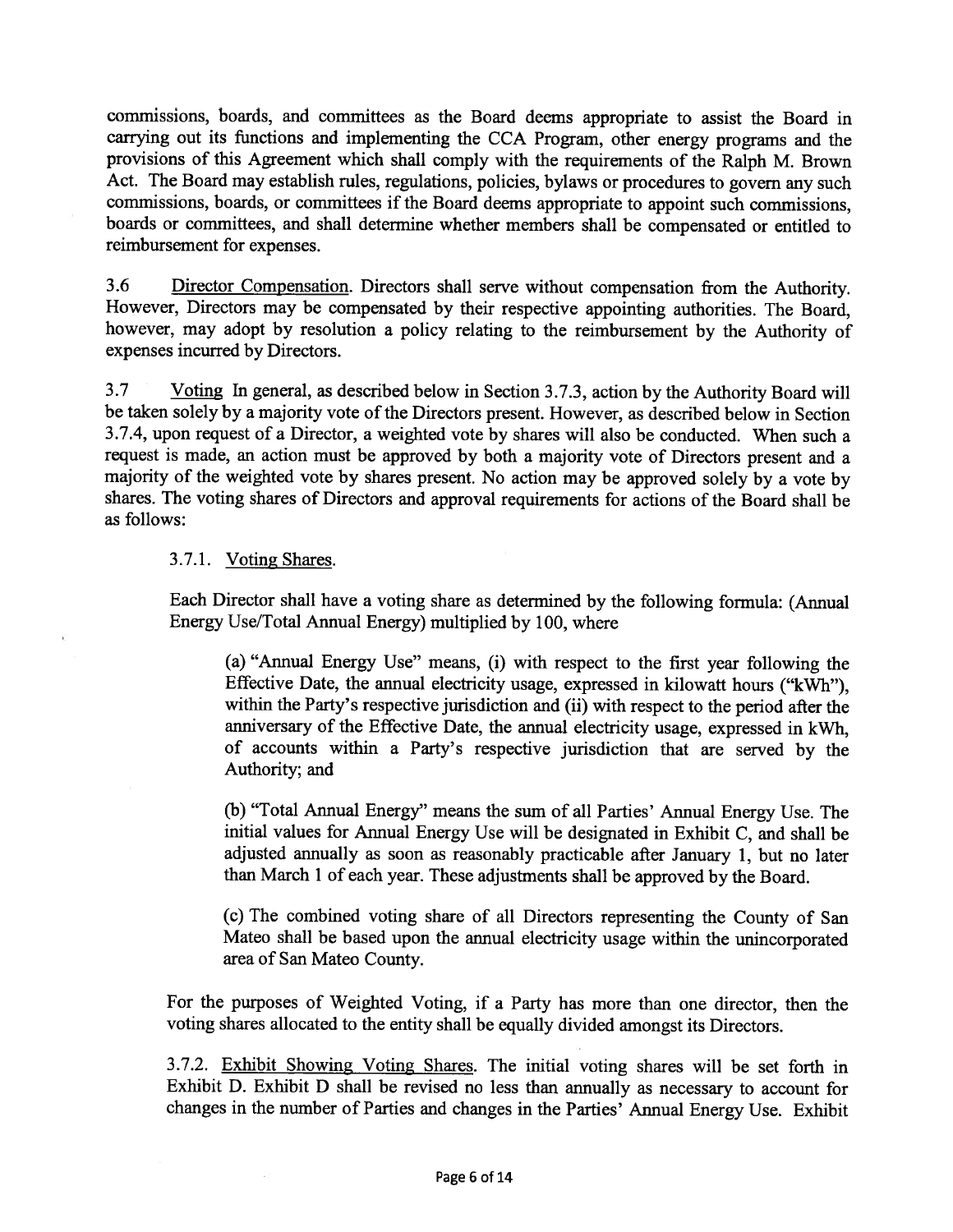commissions, boards, and committees as the Board deems appropriate to assist the Board in carrying out its functions and implementing the CCA Program, other energy programs and the provisions of this Agreement which shall comply with the requirements of the Ralph M. Brown Act. The Board may establish rules, regulations, policies, bylaws or procedures to govern any such commissions, boards, or committees if the Board deems appropriate to appoint such commissions, boards or committees, and shall determine whether members shall be compensated or entitled to reimbursement for expenses.

3.6 Director Compensation. Directors shall serve without compensation from the Authority. However, Directors may be compensated by their respective appointing authorities. The Board, however, may adopt by resolution <sup>a</sup> policy relating to the reimbursement by the Authority of expenses incurred by Directors.

3.7 Voting In general, as described below in Section 3.7.3, action by the Authority Board will be taken solely by <sup>a</sup> majority vote of the Directors present. However, as described below in Section 3.7.4, upon reques<sup>t</sup> of <sup>a</sup> Director, <sup>a</sup> weighted vote by shares will also be conducted. When such <sup>a</sup> reques<sup>t</sup> is made, an action must be approve<sup>d</sup> by both <sup>a</sup> majority vote of Directors presen<sup>t</sup> and <sup>a</sup> majority of the weighted vote by shares present. No action may be approve<sup>d</sup> solely by <sup>a</sup> vote by shares. The voting shares of Directors and approva<sup>l</sup> requirements for actions of the Board shall be as follows:

#### 3.7.1. Voting Shares.

Each Director shall have <sup>a</sup> voting share as determined by the following formula: (Annual Energy Use/Total Annual Energy) multiplied by 100, where

(a) "Annual Energy Use" means, (i) with respec<sup>t</sup> to the first year following the Effective Date, the annual electricity usage, expresse<sup>d</sup> in kilowatt hours ("kwh"), within the Party's respective jurisdiction and (ii) with respec<sup>t</sup> to the period after the anniversary of the Effective Date, the annual electricity usage, expresse<sup>d</sup> in kWh, of accounts within <sup>a</sup> Party's respective jurisdiction that are served by the Authority; and

(b) "Total Annual Energy" means the sum of all Parties' Annual Energy Use. The initial values for Annual Energy Use will be designated in Exhibit C, and shall be adjusted annually as soon as reasonably practicable after January 1, but no later than March <sup>1</sup> of each year. These adjustments shall be approve<sup>d</sup> by the Board.

(c) The combined voting share of all Directors representing the County of San Mateo shall be based upon the annual electricity usage within the unincorporated area of San Mateo County.

For the purposes of Weighted Voting, if <sup>a</sup> Party has more than one director, then the voting shares allocated to the entity shall be equally divided amongs<sup>t</sup> its Directors.

3.7.2. Exhibit Showing Voting Shares. The initial voting shares will be set forth in Exhibit D. Exhibit <sup>D</sup> shall be revised no less than annually as necessary to account for changes in the number of Parties and changes in the Parties' Annual Energy Use. Exhibit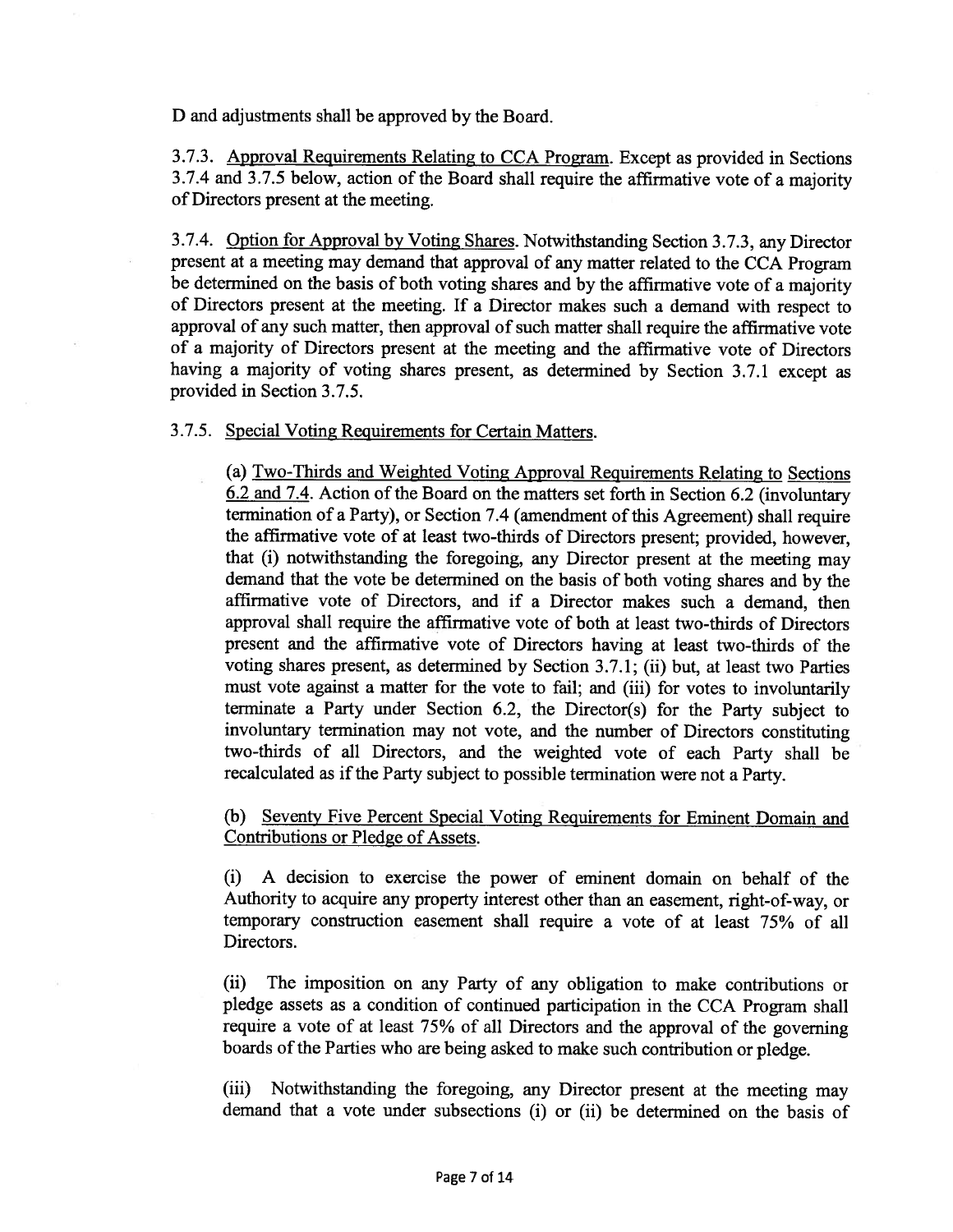D and adjustments shall be approved by the Board.

3.7.3. Approval Requirements Relating to CCA Program. Except as provided in Sections 3.7.4 and 3.7.5 below, action of the Board shall require the affirmative vote of <sup>a</sup> majority of Directors presen<sup>t</sup> at the meeting.

3.7.4. Option for Approval by Voting Shares. Notwithstanding Section 3.7.3, any Director presen<sup>t</sup> at <sup>a</sup> meeting may demand that approva<sup>l</sup> of any matter related to the CCA Program be determined on the basis of both voting shares and by the affirmative vote of <sup>a</sup> majority of Directors presen<sup>t</sup> at the meeting. If <sup>a</sup> Director makes such <sup>a</sup> demand with respec<sup>t</sup> to approval of any such matter, then approval of such matter shall require the affirmative vote of <sup>a</sup> majority of Directors presen<sup>t</sup> at the meeting and the affirmative vote of Directors having <sup>a</sup> majority of voting shares present, as determined by Section 3.7.1 excep<sup>t</sup> as provided in Section 3.7.5.

#### 3.7.5. Special Voting Requirements for Certain Matters.

(a) Two-Thirds and Weighted Voting Approval Requirements Relating to Sections 6.2 and 7.4. Action of the Board on the matters set forth in Section 6.2 (involuntary termination of <sup>a</sup> Party), or Section 7.4 (amendment of this Agreement) shall require the affirmative vote of at least two-thirds of Directors present; provided, however, that (i) notwithstanding the foregoing, any Director presen<sup>t</sup> at the meeting may demand that the vote be determined on the basis of both voting shares and by the affirmative vote of Directors, and if <sup>a</sup> Director makes such <sup>a</sup> demand, then approval shall require the affirmative vote of both at least two-thirds of Directors presen<sup>t</sup> and the affirmative vote of Directors having at least two-thirds of the voting shares present, as determined by Section 3.7.1; (ii) but, at least two Parties must vote against <sup>a</sup> matter for the vote to fail; and (iii) for votes to involuntarily terminate <sup>a</sup> Party under Section 6.2, the Director(s) for the Party subject to involuntary termination may not vote, and the number of Directors constituting two-thirds of all Directors, and the weighted vote of each Party shall be recalculated as if the Party subject to possible termination were not a Party.

(b) Seventy Five Percent Special Voting Requirements for Eminent Domain and Contributions or Pledge of Assets.

(i) A decision to exercise the power of eminent domain on behalf of the Authority to acquire any property interest other than an easement, right-of-way, or temporary construction easement shall require <sup>a</sup> vote of at least 75% of all Directors.

(ii) The imposition on any Party of any obligation to make contributions or <sup>p</sup>ledge assets as <sup>a</sup> condition of continued participation in the CCA Program shall require <sup>a</sup> vote of at least 75% of all Directors and the approva<sup>l</sup> of the governing boards of the Parties who are being asked to make such contribution or pledge.

(iii) Notwithstanding the foregoing, any Director presen<sup>t</sup> at the meeting may demand that <sup>a</sup> vote under subsections (i) or (ii) be determined on the basis of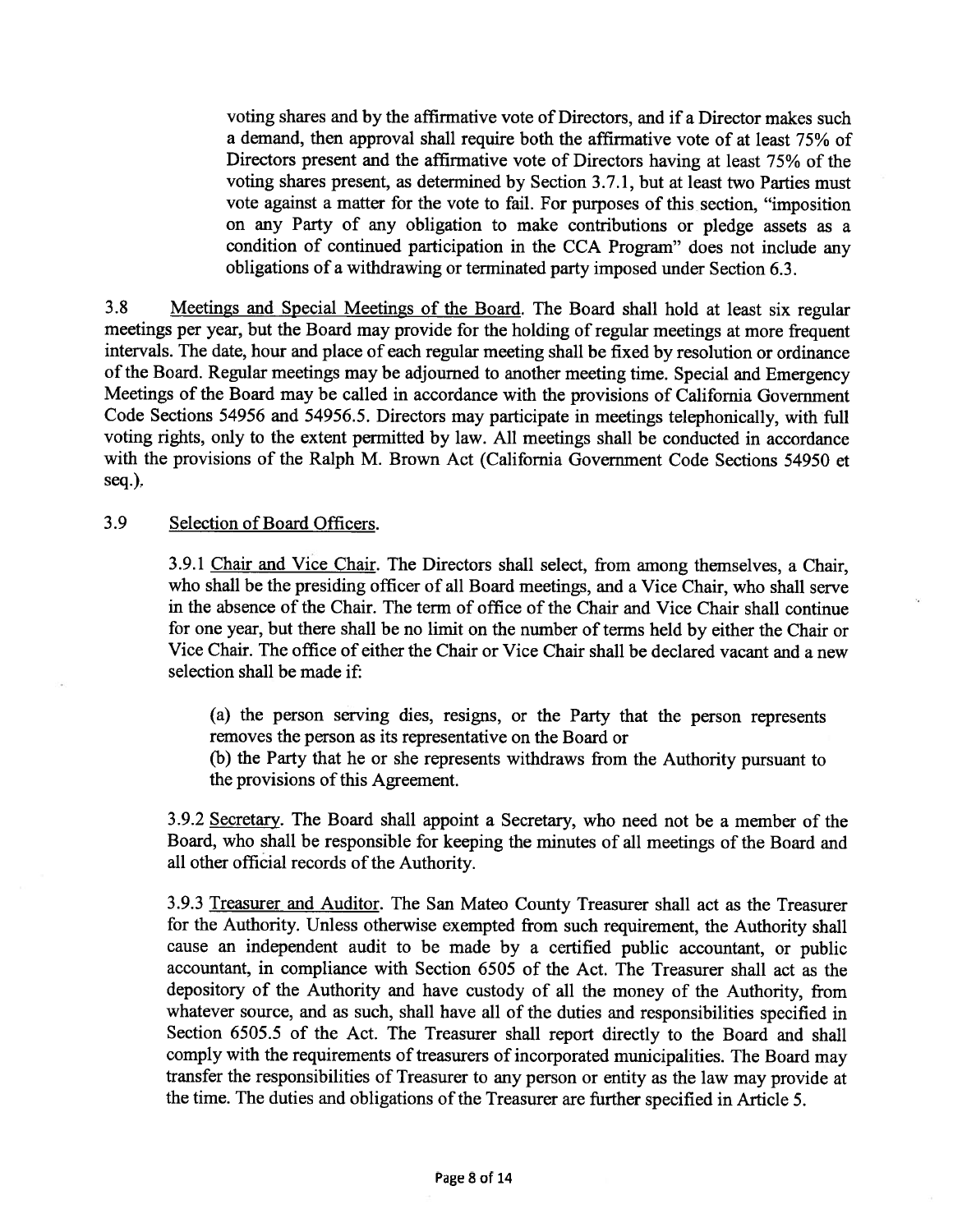voting shares and by the affirmative vote of Directors, and if <sup>a</sup> Director makes such <sup>a</sup> demand, then approval shall require both the affirmative vote of at least 75% of Directors presen<sup>t</sup> and the affirmative vote of Directors having at least 75% of the voting shares present, as determined by Section 3.7.1, but at least two Parties must vote against <sup>a</sup> matter for the vote to fail. For purposes of this section, "imposition on any Party of any obligation to make contributions or <sup>p</sup>ledge assets as <sup>a</sup> condition of continued participation in the CCA Program" does not include any obligations of <sup>a</sup> withdrawing or terminated party imposed under Section 6.3.

3.8 Meetings and Special Meetings of the Board. The Board shall hold at least six regular meetings per year, but the Board may provide for the holding of regular meetings at more frequent intervals. The date, hour and <sup>p</sup>lace of each regular meeting shall be fixed by resolution or ordinance of the Board. Regular meetings may be adjourned to another meeting time. Special and Emergency Meetings of the Board may be called in accordance with the provisions of California Government Code Sections <sup>54956</sup> and 54956.5. Directors may participate in meetings telephonically, with full voting rights, only to the extent permitted by law. All meetings shall be conducted in accordance with the provisions of the Ralph M. Brown Act (California Government Code Sections 54950 et seq.).

#### 3.9 Selection of Board Officers.

3.9.1 Chair and Vice Chair. The Directors shall select, from among themselves, <sup>a</sup> Chair, who shall be the presiding officer of all Board meetings, and <sup>a</sup> Vice Chair, who shall serve in the absence of the Chair. The term of office of the Chair and Vice Chair shall continue for one year, but there shall be no limit on the number of terms held by either the Chair or Vice Chair. The office of either the Chair or Vice Chair shall be declared vacant and <sup>a</sup> new selection shall be made if:

(a) the person serving dies, resigns, or the Party that the person represents removes the person as its representative on the Board or

(b) the Party that he or she represents withdraws from the Authority pursuan<sup>t</sup> to the provisions of this Agreement.

3.9.2 Secretary. The Board shall appoint <sup>a</sup> Secretary, who need not be <sup>a</sup> member of the Board, who shall be responsible for keeping the minutes of all meetings of the Board and all other official records of the Authority.

3.9.3 Treasurer and Auditor. The San Mateo County Treasurer shall act as the Treasurer for the Authority. Unless otherwise exempted from such requirement, the Authority shall cause an independent audit to be made by <sup>a</sup> certified public accountant, or public accountant, in compliance with Section 6505 of the Act. The Treasurer shall act as the depository of the Authority and have custody of all the money of the Authority, from whatever source, and as such, shall have all of the duties and responsibilities specified in Section 6505.5 of the Act. The Treasurer shall repor<sup>t</sup> directly to the Board and shall comply with the requirements of treasurers of incorporated municipalities. The Board may transfer the responsibilities of Treasurer to any person or entity as the law may provide at the time. The duties and obligations of the Treasurer are further specified in Article 5.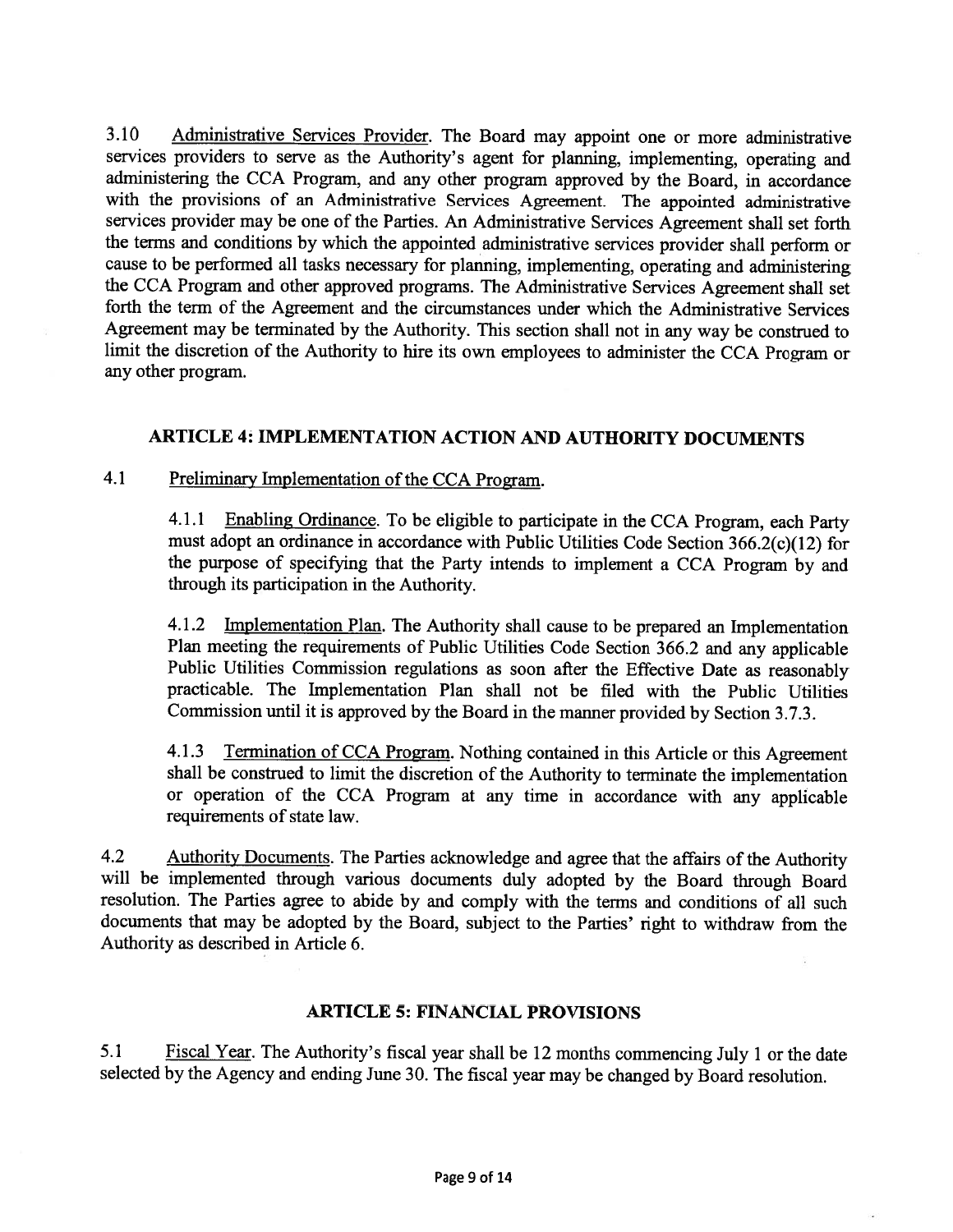3.10 Administrative Services Provider. The Board may appoint one or more administrative services providers to serve as the Authority's agen<sup>t</sup> for <sup>p</sup>lanning, implementing, operating and administering the CCA Program, and any other program approve<sup>d</sup> by the Board, in accordance with the provisions of an Administrative Services Agreement. The appointed administrative services provider may be one of the Parties. An Administrative Services Agreement shall set forth the terms and conditions by which the appointed administrative services provider shall perform or cause to be performed all tasks necessary for <sup>p</sup>lanning, implementing, operating and administering the CCA Program and other approve<sup>d</sup> programs. The Administrative Services Agreement shall set forth the term of the Agreement and the circumstances under which the Administrative Services Agreement may be terminated by the Authority. This section shall not in any way be construed to limit the discretion of the Authority to hire its own employees to administer the CCA Program or any other program.

# ARTICLE 4: IMPLEMENTATION ACTION AND AUTHORITY DOCUMENTS

## 4.1 Preliminary Implementation of the CCA Program.

4.1.1 Enabling Ordinance. To be eligible to participate in the CCA Program, each Party must adopt an ordinance in accordance with Public Utilities Code Section <sup>3</sup> 66.2(c)( 12) for the purpose of specifying that the Party intends to implement <sup>a</sup> CCA Program by and through its participation in the Authority.

4.1.2 Implementation Plan. The Authority shall cause to be prepared an Implementation Plan meeting the requirements of Public Utilities Code Section 366.2 and any applicable Public Utilities Commission regulations as soon after the Effective Date as reasonably practicable. The Implementation Plan shall not be filed with the Public Utilities Commission until it is approve<sup>d</sup> by the Board in the manner provided by Section 3.7.3.

4.1.3 Termination of CCA Program. Nothing contained in this Article or this Agreement shall be construed to limit the discretion of the Authority to terminate the implementation or operation of the CCA Program at any time in accordance with any applicable requirements of state law.

4.2 Authority Documents. The Parties acknowledge and agree that the affairs of the Authority will be implemented through various documents duly adopted by the Board through Board resolution. The Parties agree to abide by and comply with the terms and conditions of all such documents that may be adopted by the Board, subject to the Parties' right to withdraw from the Authority as described in Article 6.

### ARTICLE 5: FINANCIAL PROVISIONS

5.1 Fiscal Year. The Authority's fiscal year shall be <sup>12</sup> months commencing July <sup>1</sup> or the date selected by the Agency and ending June 30. The fiscal year may be changed by Board resolution.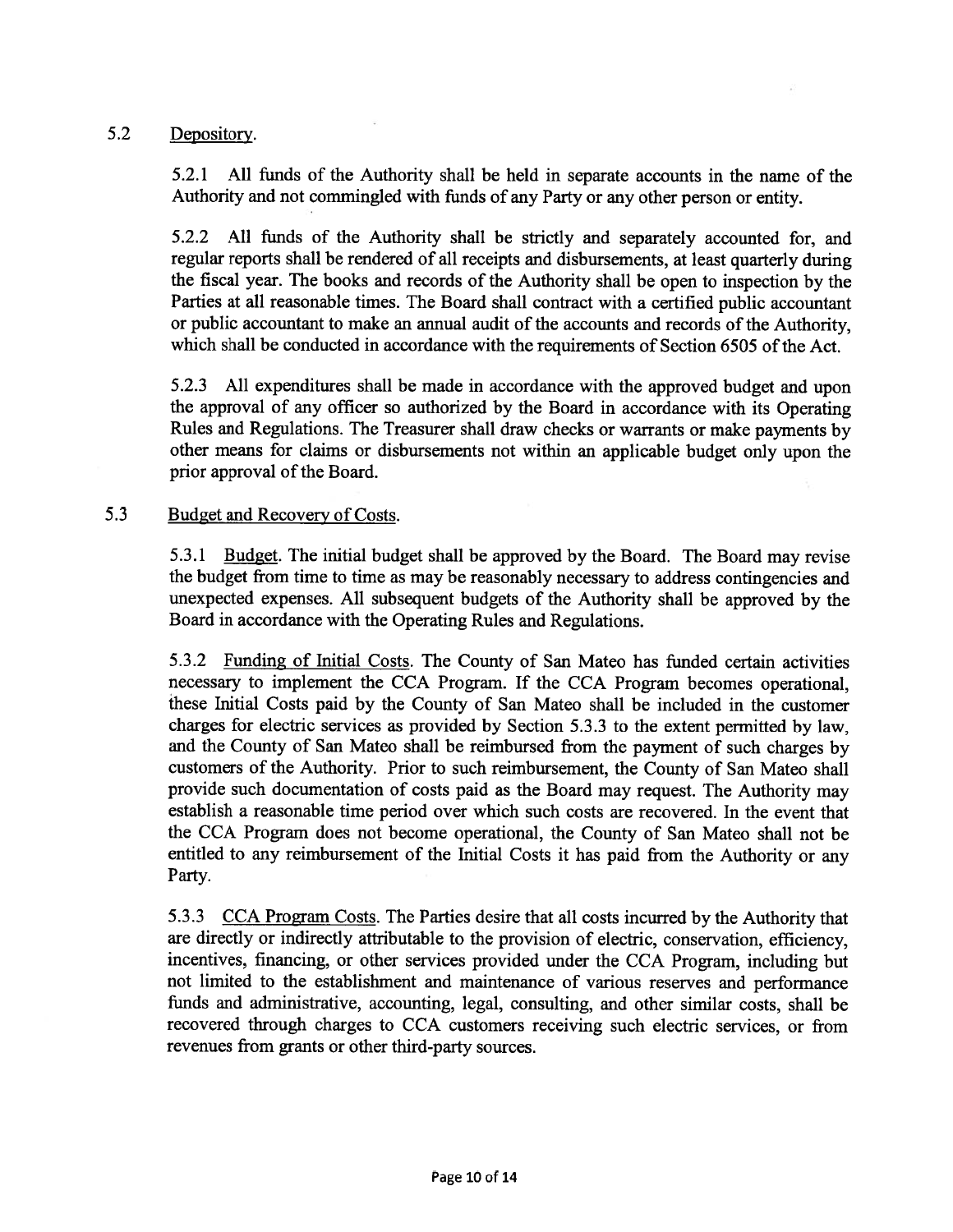### 5.2 Depository.

5.2.1 All funds of the Authority shall be held in separate accounts in the name of the Authority and not commingled with funds of any Party or any other person or entity.

5.2.2 All funds of the Authority shall be strictly and separately accounted for, and regular reports shall be rendered of all receipts and disbursements, at least quarterly during the fiscal year. The books and records of the Authority shall be open to inspection by the Parties at all reasonable times. The Board shall contract with <sup>a</sup> certified public accountant or public accountant to make an annual audit of the accounts and records of the Authority, which shall be conducted in accordance with the requirements of Section 6505 of the Act.

5.2.3 All expenditures shall be made in accordance with the approve<sup>d</sup> budget and upon the approva<sup>l</sup> of any officer so authorized by the Board in accordance with its Operating Rules and Regulations. The Treasurer shall draw checks or warrants or make payments by other means for claims or disbursements not within an applicable budget only upon the prior approval of the Board.

#### 5.3 Budget and Recovery of Costs.

5.3.1 Budget. The initial budget shall be approve<sup>d</sup> by the Board. The Board may revise the budget from time to time as may be reasonably necessary to address contingencies and unexpected expenses. All subsequent budgets of the Authority shall be approve<sup>d</sup> by the Board in accordance with the Operating Rules and Regulations.

5.3.2 Funding of Initial Costs. The County of San Mateo has funded certain activities necessary to implement the CCA Program. If the CCA Program becomes operational, these Initial Costs paid by the County of San Mateo shall be included in the customer charges for electric services as provided by Section 5.3.3 to the extent permitted by law, and the County of San Mateo shall be reimbursed from the paymen<sup>t</sup> of such charges by customers of the Authority. Prior to such reimbursement, the County of San Mateo shall provide such documentation of costs paid as the Board may request. The Authority may establish <sup>a</sup> reasonable time period over which such costs are recovered. In the event that the CCA Program does not become operational, the County of San Mateo shall not be entitled to any reimbursement of the Initial Costs it has paid from the Authority or any Party.

5.3.3 CCA Program Costs. The Parties desire that all costs incurred by the Authority that are directly or indirectly attributable to the provision of electric, conservation, efficiency, incentives, financing, or other services provided under the CCA Program, including but not limited to the establishment and maintenance of various reserves and performance funds and administrative, accounting, legal, consulting, and other similar costs, shall be recovered through charges to CCA customers receiving such electric services, or from revenues from grants or other third-party sources.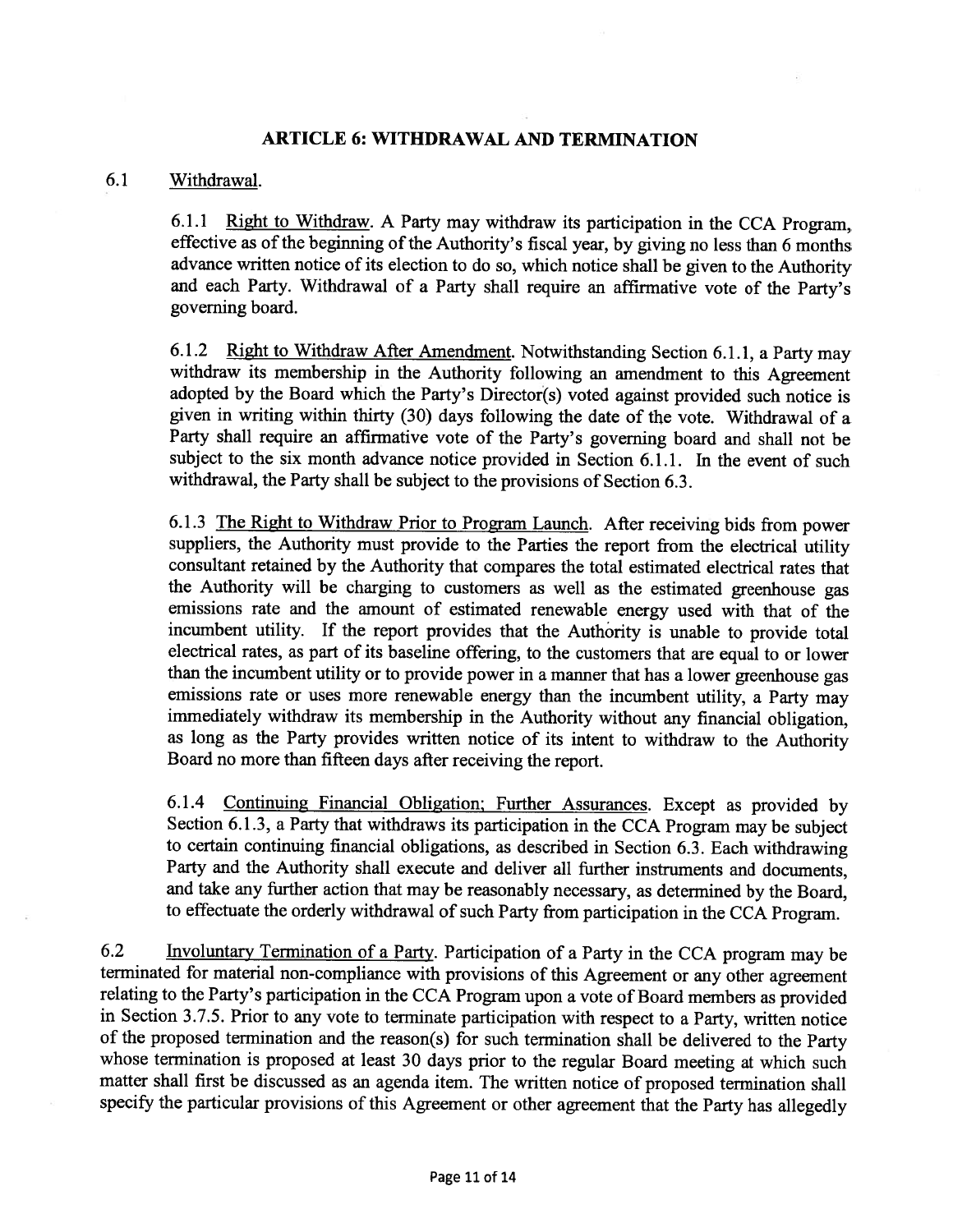### ARTICLE 6: WITHDRAWAL AND TERMINATION

#### 6.1 Withdrawal.

6.1.1 Right to Withdraw. <sup>A</sup> Party may withdraw its participation in the CCA Program, effective as of the beginning of the Authority's fiscal year, by giving no less than 6 months advance written notice of its election to do so, which notice shall be <sup>g</sup>iven to the Authority and each Party. Withdrawal of <sup>a</sup> Party shall require an affirmative vote of the Party's governing board.

6.1.2 Right to Withdraw After Amendment. Notwithstanding Section 6.1.1, <sup>a</sup> Party may withdraw its membership in the Authority following an amendment to this Agreement adopted by the Board which the Party's Director(s) voted against provided such notice is <sup>g</sup>iven in writing within thirty (30) days following the date of the vote. Withdrawal of <sup>a</sup> Party shall require an affirmative vote of the Party's governing board and shall not be subject to the six month advance notice provided in Section 6.1.1. In the event of such withdrawal, the Party shall be subject to the provisions of Section 6.3.

6.1.3 The Right to Withdraw Prior to Program Launch. After receiving bids from power suppliers, the Authority must provide to the Parties the report from the electrical utility consultant retained by the Authority that compares the total estimated electrical rates that the Authority will be charging to customers as well as the estimated greenhouse gas emissions rate and the amount of estimated renewable energy used with that of the incumbent utility. If the report provides that the Authority is unable to provide total electrical rates, as part of its baseline offering, to the customers that are equa<sup>l</sup> to or lower than the incumbent utility or to provide power in <sup>a</sup> manner that has <sup>a</sup> lower greenhouse gas emissions rate or uses more renewable energy than the incumbent utility, <sup>a</sup> Party may immediately withdraw its membership in the Authority without any financial obligation, as long as the Party provides written notice of its intent to withdraw to the Authority Board no more than fifteen days after receiving the report.

6.1.4 Continuing Financial Obligation; Further Assurances. Except as provided by Section 6.1.3, <sup>a</sup> Party that withdraws its participation in the CCA Program may be subject to certain continuing financial obligations, as described in Section 6.3. Each withdrawing Party and the Authority shall execute and deliver all further instruments and documents, and take any further action that may be reasonably necessary, as determined by the Board, to effectuate the orderly withdrawal of such Party from participation in the CCA Program.

6.2 Involuntary Termination of <sup>a</sup> Party. Participation of <sup>a</sup> Party in the CCA program may be terminated for material non-compliance with provisions of this Agreement or any other agreement relating to the Party's participation in the CCA Program upon <sup>a</sup> vote of Board members as provided in Section 3.7.5. Prior to any vote to terminate participation with respect to <sup>a</sup> Party, written notice of the proposed termination and the reason(s) for such termination shall be delivered to the Party whose termination is proposed at least <sup>30</sup> days prior to the regular Board meeting at which such matter shall first be discussed as an agenda item. The written notice of proposed termination shall specify the particular provisions of this Agreement or other agreement that the Party has allegedly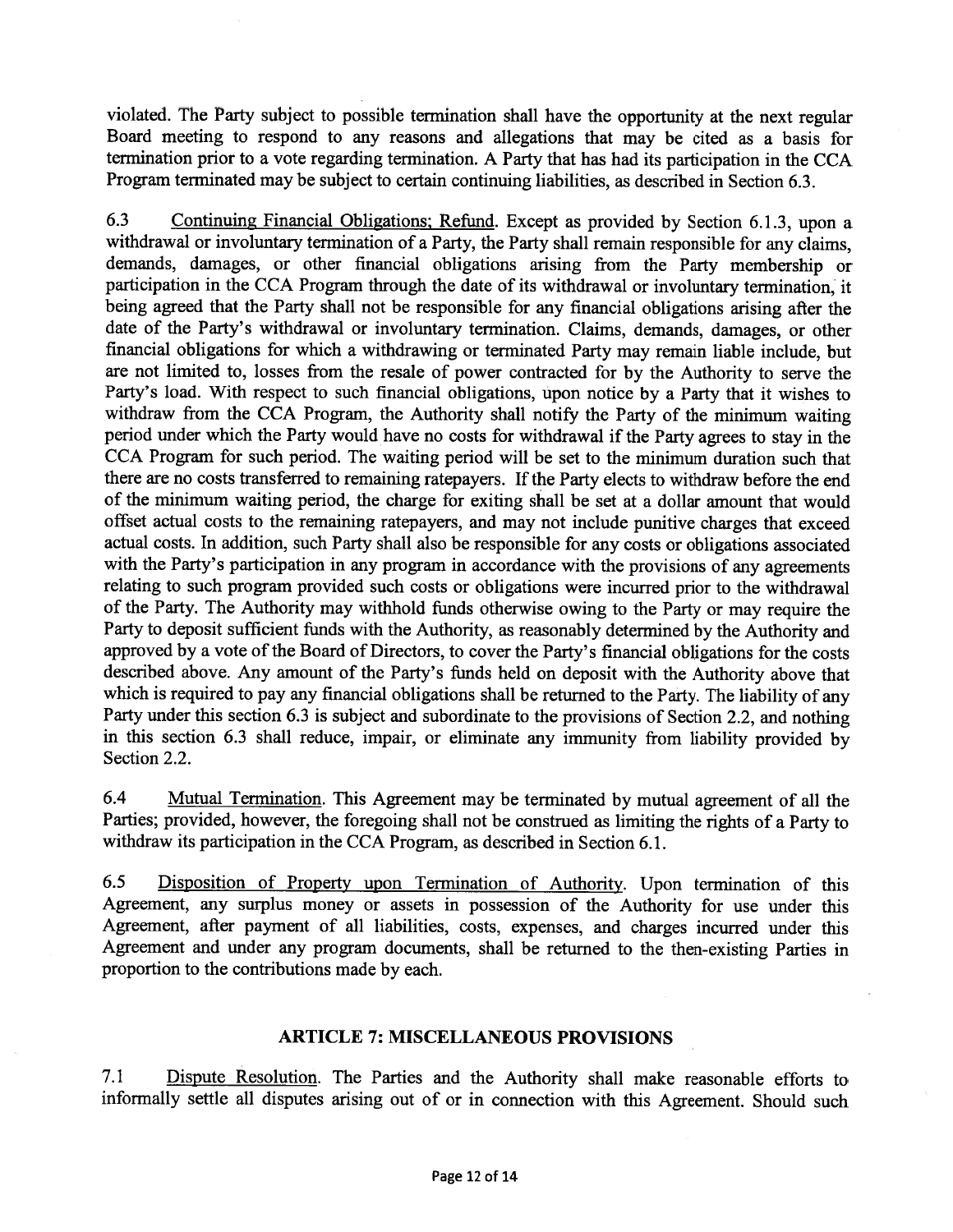violated. The Party subject to possible termination shall have the opportunity at the next regular Board meeting to respon<sup>d</sup> to any reasons and allegations that may be cited as <sup>a</sup> basis for termination prior to <sup>a</sup> vote regarding termination. <sup>A</sup> Party that has had its participation in the CCA Program terminated may be subject to certain continuing liabilities, as described in Section 6.3.

6.3 Continuing Financial Obligations; Refund. Except as provided by Section 6.1.3, upon <sup>a</sup> withdrawal or involuntary termination of a Party, the Party shall remain responsible for any claims, demands, damages, or other financial obligations arising from the Party membership or participation in the CCA Program through the date of its withdrawal or involuntary termination, it being agree<sup>d</sup> that the Party shall not be responsible for any financial obligations arising after the date of the Party's withdrawal or involuntary termination. Claims, demands, damages, or other financial obligations for which <sup>a</sup> withdrawing or terminated Party may remain liable include, but are not limited to, losses from the resale of power contracted for by the Authority to serve the Party's load. With respec<sup>t</sup> to such financial obligations, upon notice by <sup>a</sup> Party that it wishes to withdraw from the CCA Program, the Authority shall notify the Party of the minimum waiting period under which the Party would have no costs for withdrawal if the Party agrees to stay in the CCA Program for such period. The waiting period will be set to the minimum duration such that there are no costs transferred to remaining ratepayers. If the Party elects to withdraw before the end of the minimum waiting period, the charge for exiting shall be set at <sup>a</sup> dollar amount that would offset actual costs to the remaining ratepayers, and may not include punitive charges that exceed actual costs. In addition, such Party shall also be responsible for any costs or obligations associated with the Party's participation in any program in accordance with the provisions of any agreements relating to such program provided such costs or obligations were incurred prior to the withdrawal of the Party. The Authority may withhold funds otherwise owing to the Party or may require the Party to deposit sufficient funds with the Authority, as reasonably determined by the Authority and approve<sup>d</sup> by <sup>a</sup> vote of the Board of Directors, to cover the Party's financial obligations for the costs described above. Any amount of the Party's funds held on deposit with the Authority above that which is required to pay any financial obligations shall be returned to the Party. The liability of any Party under this section 6.3 is subject and subordinate to the provisions of Section 2.2, and nothing in this section 6.3 shall reduce, impair, or eliminate any immunity from liability provided by Section 2.2.

6.4 Mutual Termination. This Agreement may be terminated by mutual agreemen<sup>t</sup> of all the Parties; provided, however, the foregoing shall not be construed as limiting the rights of <sup>a</sup> Party to withdraw its participation in the CCA Program, as described in Section 6.1.

6.5 Disposition of Property upon Termination of Authority. Upon termination of this Agreement, any surplus money or assets in possession of the Authority for use under this Agreement, after paymen<sup>t</sup> of all liabilities, costs, expenses, and charges incurred under this Agreement and under any program documents, shall be returned to the then-existing Parties in proportion to the contributions made by each.

### ARTICLE 7: MISCELLANEOUS PROVISIONS

7.1 Dispute Resolution. The Parties and the Authority shall make reasonable efforts to informally settle all disputes arising out of or in connection with this Agreement. Should such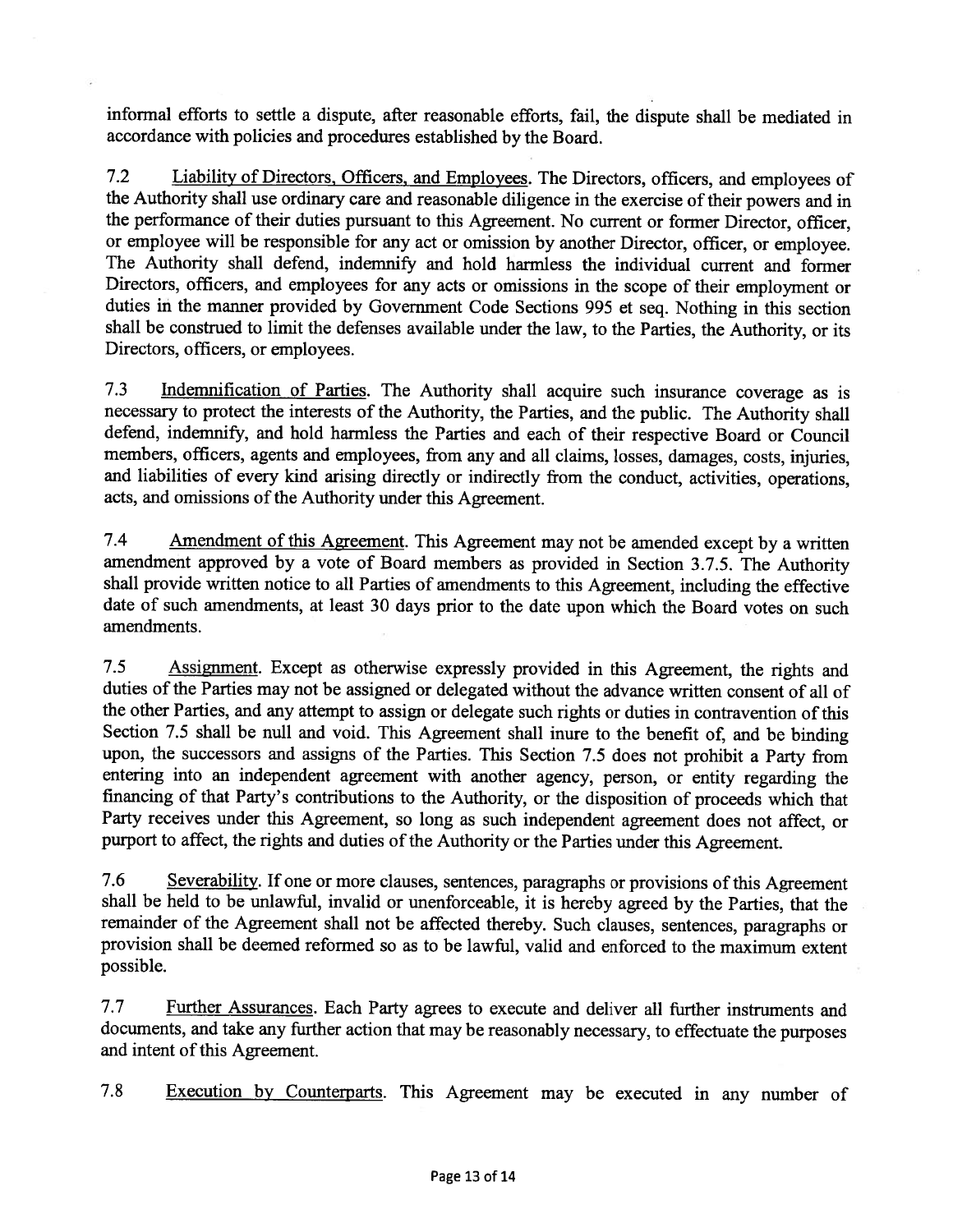informal efforts to settle <sup>a</sup> dispute, after reasonable efforts, fail, the dispute shall be mediated in accordance with policies and procedures established by the Board.

7.2 Liability of Directors. Officers, and Employees. The Directors, officers, and employees of the Authority shall use ordinary care and reasonable diligence in the exercise of their powers and in the performance of their duties pursuant to this Agreement. No current or former Director, officer, or employee will be responsible for any act or omission by another Director, officer, or employee. The Authority shall defend, indemnify and hold harmless the individual current and former Directors, officers, and employees for any acts or omissions in the scope of their employment or duties in the manner provided by Government Code Sections <sup>995</sup> et seq. Nothing in this section shall be construed to limit the defenses available under the law, to the Parties, the Authority, or its Directors, officers, or employees.

7.3 Indemnification of Parties. The Authority shall acquire such insurance coverage as is necessary to protect the interests of the Authority, the Parties, and the public. The Authority shall defend, indemnify, and hold harmless the Parties and each of their respective Board or Council members, officers, agents and employees, from any and all claims, losses, damages, costs, injuries, and liabilities of every kind arising directly or indirectly from the conduct, activities, operations, acts, and omissions of the Authority under this Agreement.

7.4 Amendment of this Agreement. This Agreement may not be amended except by a written amendment approved by <sup>a</sup> vote of Board members as provided in Section 3.7.5. The Authority shall provide written notice to all Parties of amendments to this Agreement, including the effective date of such amendments, at least <sup>30</sup> days prior to the date upon which the Board votes on such amendments.

7.5 Assignment. Except as otherwise expressly provided in this Agreement, the rights and duties of the Parties may not be assigned or delegated without the advance written consent of all of the other Parties, and any attempt to assign or delegate such rights or duties in contravention of this Section 7.5 shall be null and void. This Agreement shall inure to the benefit of, and be binding upon, the successors and assigns of the Parties. This Section 7.5 does not prohibit <sup>a</sup> Party from entering into an independent agreement with another agency, person, or entity regarding the financing of that Party's contributions to the Authority, or the disposition of proceeds which that Party receives under this Agreement, so long as such independent agreement does not affect, or purport to affect, the rights and duties of the Authority or the Parties under this Agreement.

7.6 Severability. If one or more clauses, sentences, paragraphs or provisions of this Agreement shall be held to be unlawful, invalid or unenforceable, it is hereby agreed by the Parties, that the remainder of the Agreement shall not be affected thereby. Such clauses, sentences, paragraphs or provision shall be deemed reformed so as to be lawful, valid and enforced to the maximum extent possible.

7.7 Further Assurances. Each Party agrees to execute and deliver all further instruments and documents, and take any further action that may be reasonably necessary, to effectuate the purposes and intent of this Agreement.

7.8 Execution by Counterparts. This Agreement may be executed in any number of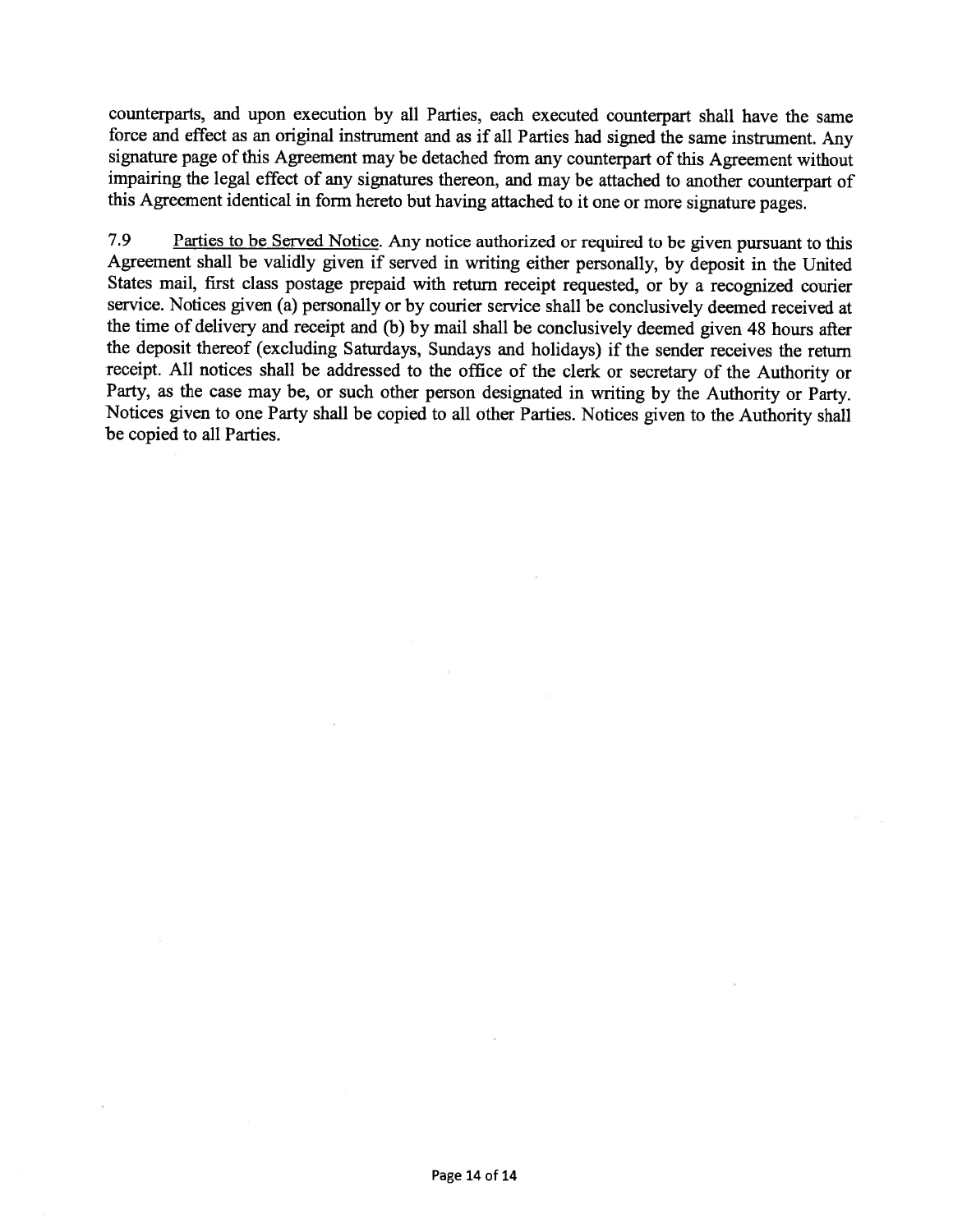counterparts, and upon execution by all Parties, each executed counterpart shall have the same force and effect as an original instrument and as if all Parties had signed the same instrument. Any signature page of this Agreement may be detached from any counterpart of this Agreement without impairing the legal effect of any signatures thereon, and may be attached to another counterpart of this Agreement identical in form hereto but having attached to it one or more signature pages.

7.9 Parties to be Served Notice. Any notice authorized or required to be <sup>g</sup>iven pursuan<sup>t</sup> to this Agreement shall be validly <sup>g</sup>iven if served in writing either personally, by deposit in the United States mail, first class postage prepaid with return receipt requested, or by <sup>a</sup> recognized courier service. Notices <sup>g</sup>iven (a) personally or by courier service shall be conclusively deemed received at the time of delivery and receipt and (b) by mail shall be conclusively deemed <sup>g</sup>iven <sup>48</sup> hours after the deposit thereof (excluding Saturdays, Sundays and holidays) if the sender receives the return receipt. All notices shall be addressed to the office of the clerk or secretary of the Authority or Party, as the case may be, or such other person designated in writing by the Authority or Party. Notices <sup>g</sup>iven to one Party shall be copied to all other Parties. Notices <sup>g</sup>iven to the Authority shall be copied to all Parties.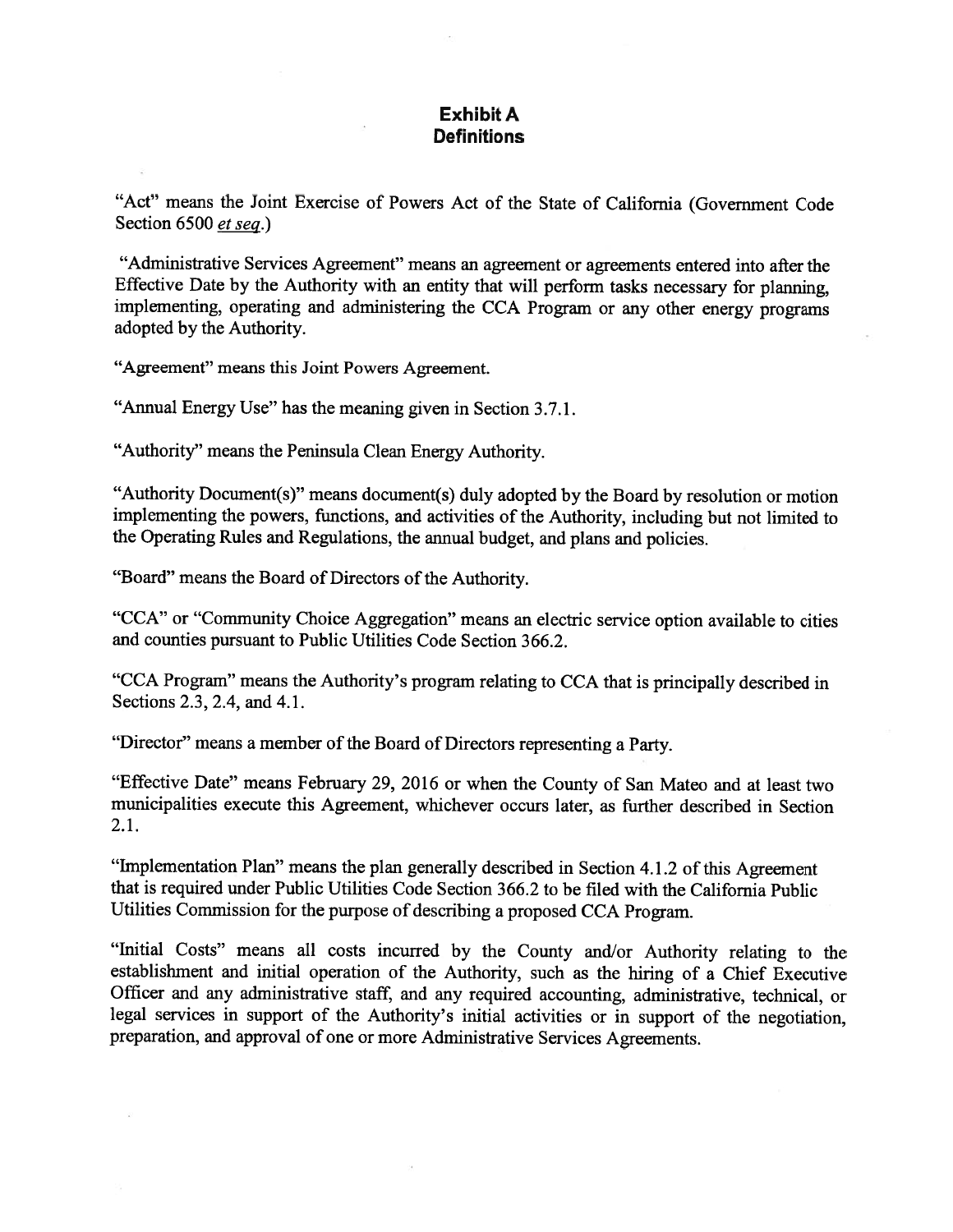## Exhibit A **Definitions**

"Act" means the Joint Exercise of Powers Act of the State of California (Government Code Section 6500 et seq.)

"Administrative Services Agreement" means an agreemen<sup>t</sup> or agreements entered into after the Effective Date by the Authority with an entity that will perform tasks necessary for <sup>p</sup>lanning, implementing, operating and administering the CCA Program or any other energy programs adopted by the Authority.

"Agreement" means this Joint Powers Agreement.

"Annual Energy Use" has the meaning <sup>g</sup>iven in Section 3.7.1.

"Authority" means the Peninsula Clean Energy Authority.

"Authority Document(s)" means document(s) duly adopted by the Board by resolution or motion implementing the powers, functions, and activities of the Authority, including but not limited to the Operating Rules and Regulations, the annual budget, and <sup>p</sup>lans and policies.

"Board" means the Board of Directors of the Authority.

"CCA" or "Community Choice Aggregation" means an electric service option available to cities and counties pursuan<sup>t</sup> to Public Utilities Code Section 366.2.

"CCA Program" means the Authority's program relating to CCA that is principally described in Sections 2.3, 2.4, and 4.1.

"Director" means <sup>a</sup> member of the Board of Directors representing <sup>a</sup> Party.

"Effective Date" means February 29, <sup>2016</sup> or when the County of San Mateo and at least two municipalities execute this Agreement, whichever occurs later, as further described in Section 2.1.

"Implementation Plan" means the <sup>p</sup>lan generally described in Section 4.1.2 of this Agreement that is required under Public Utilities Code Section 366.2 to be filed with the California Public Utilities Commission for the purpose of describing <sup>a</sup> propose<sup>d</sup> CCA Program.

"Initial Costs" means all costs incurred by the County and/or Authority relating to the establishment and initial operation of the Authority, such as the hiring of <sup>a</sup> Chief Executive Officer and any administrative staff, and any required accounting, administrative, technical, or legal services in suppor<sup>t</sup> of the Authority's initial activities or in suppor<sup>t</sup> of the negotiation, preparation, and approva<sup>l</sup> of one or more Administrative Services Agreements.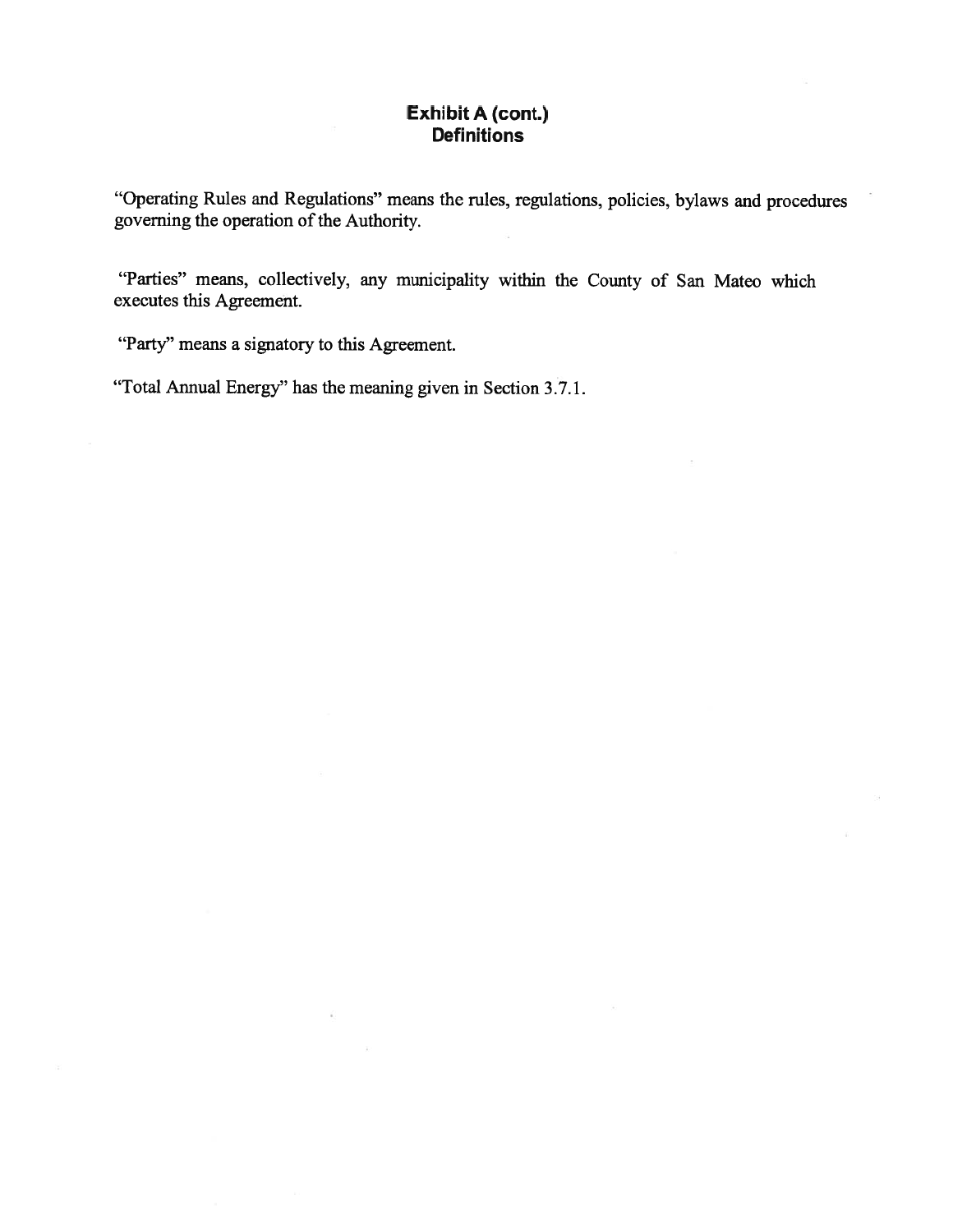# Exhibit A (cont.) **Definitions**

"Operating Rules and Regulations" means the rules, regulations, policies, bylaws and procedures governing the operation of the Authority.

"Parties" means, collectively, any municipality within the County of San Mateo which executes this Agreement.

"Party" means a signatory to this Agreement.

"Total Annual Energy" has the meaning given in Section 3.7.1.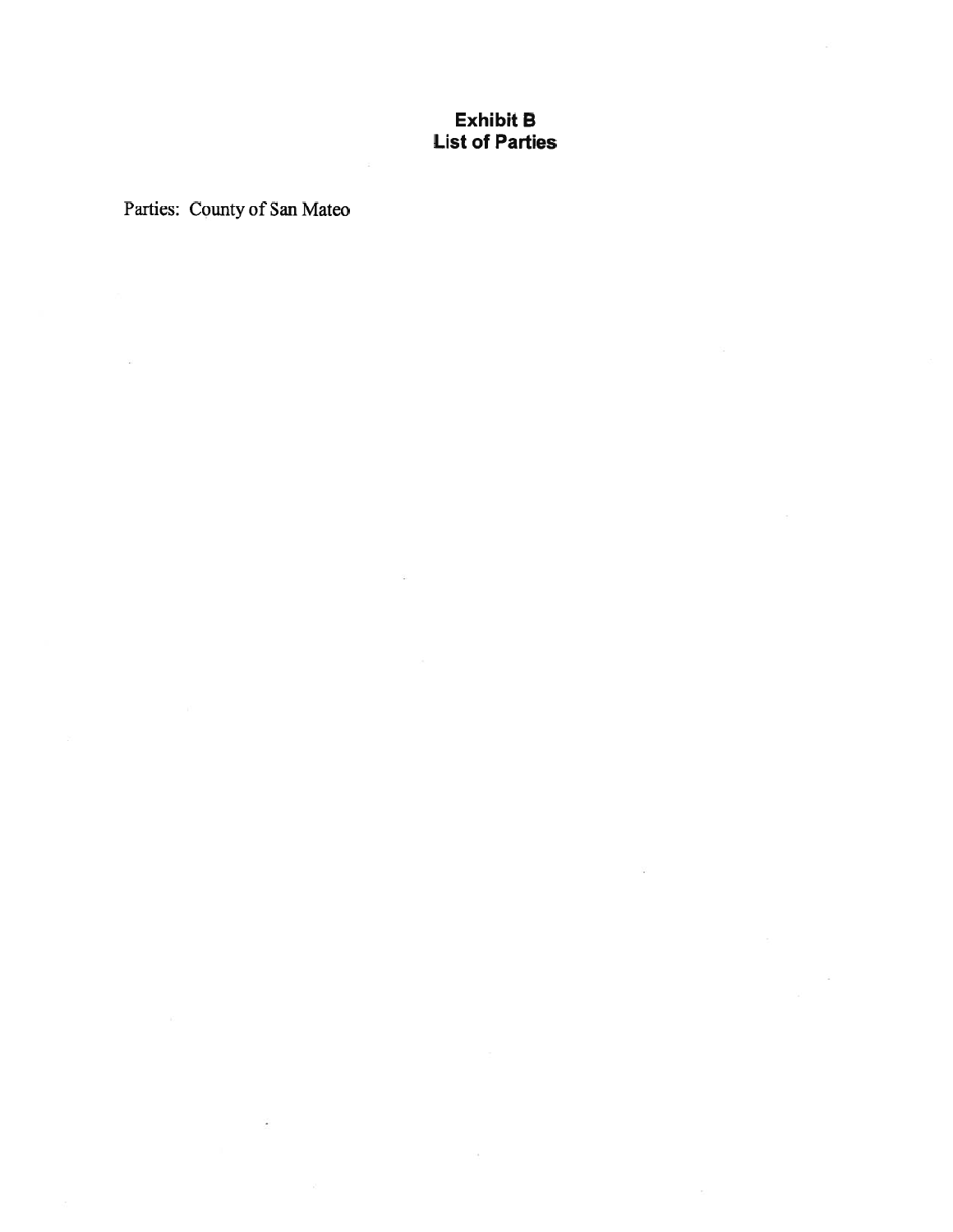## Exhibit B List of Parties

Parties: County of San Mateo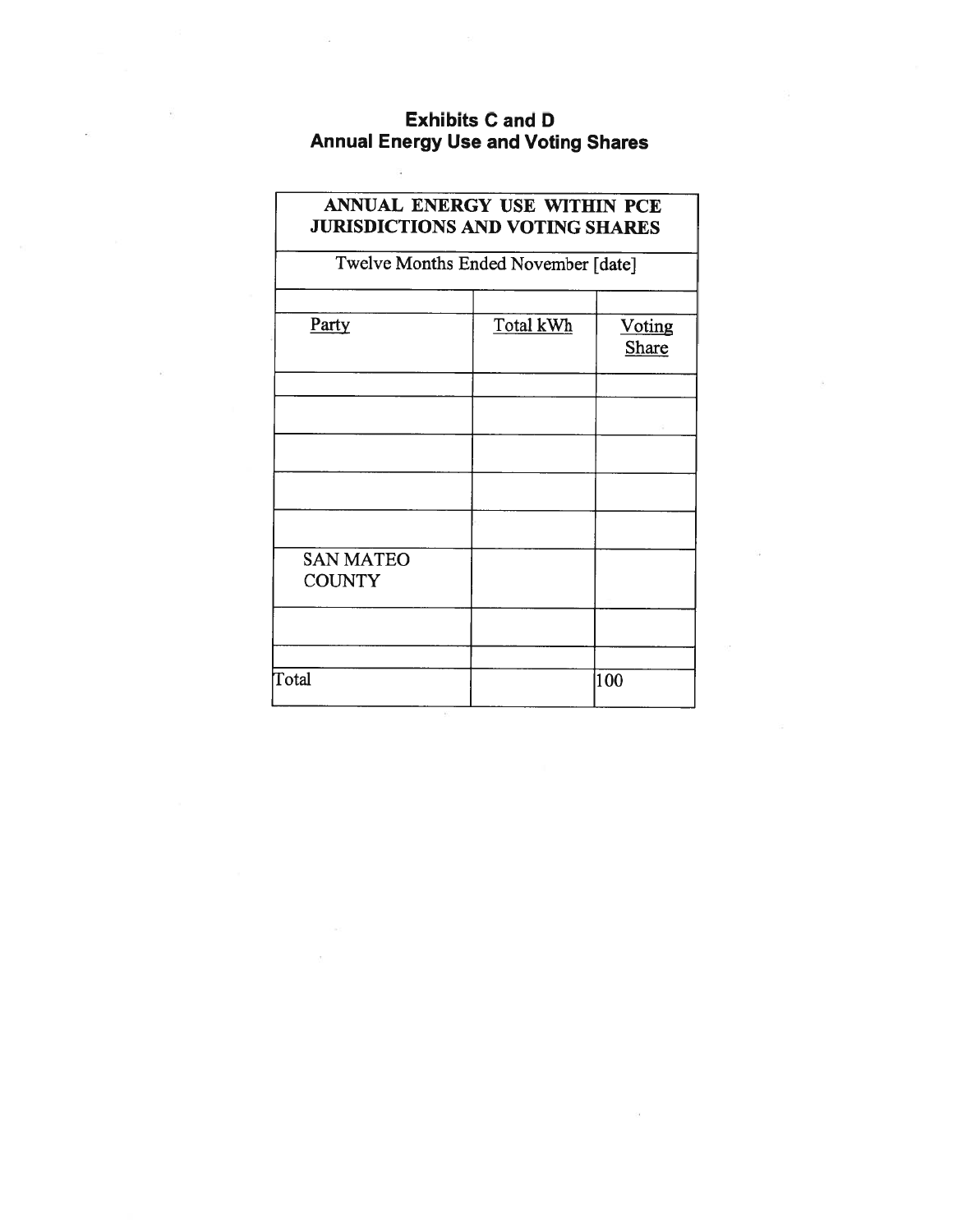# Exhibits C and D Annual Energy Use and Voting Shares

| ANNUAL ENERGY USE WITHIN PCE<br><b>JURISDICTIONS AND VOTING SHARES</b><br>Twelve Months Ended November [date] |  |     |
|---------------------------------------------------------------------------------------------------------------|--|-----|
|                                                                                                               |  |     |
|                                                                                                               |  |     |
|                                                                                                               |  |     |
|                                                                                                               |  |     |
| <b>SAN MATEO</b><br><b>COUNTY</b>                                                                             |  |     |
|                                                                                                               |  |     |
| Total                                                                                                         |  | 100 |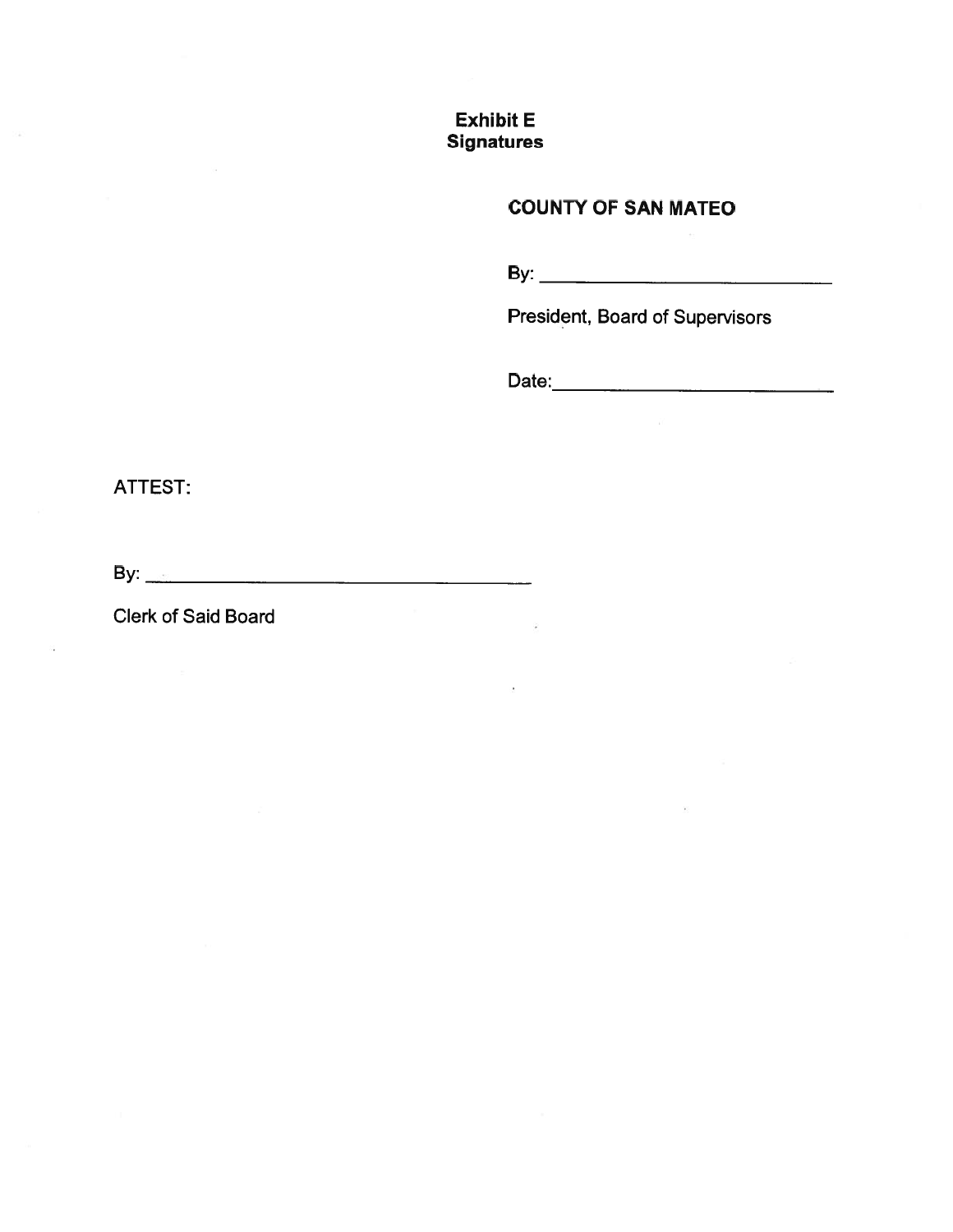# Exhibit E **Signatures**

# COUNTY OF SAN MATEO

By:

President, Board of Supervisors

Date:

ATTEST:

By:  $\overline{\phantom{a}}$ 

Clerk of Said Board